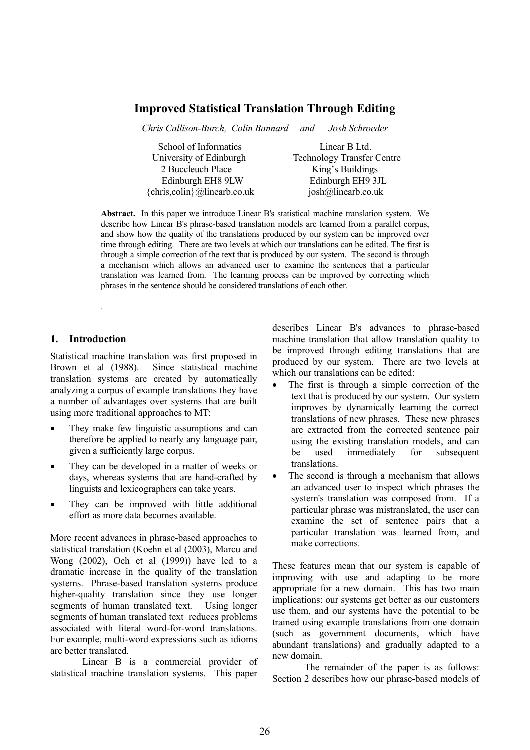# **Improved Statistical Translation Through Editing**

*Chris Callison-Burch, Colin Bannard and Josh Schroeder*

School of Informatics Linear B Ltd. 2 Buccleuch Place King's Buildings  ${chris.colin} @ linearb.co.uk$  iosh $@linearb.co.uk$ 

University of Edinburgh Technology Transfer Centre Edinburgh EH8 9LW Edinburgh EH9 3JL

**Abstract.** In this paper we introduce Linear B's statistical machine translation system. We describe how Linear B's phrase-based translation models are learned from a parallel corpus, and show how the quality of the translations produced by our system can be improved over time through editing. There are two levels at which our translations can be edited. The first is through a simple correction of the text that is produced by our system. The second is through a mechanism which allows an advanced user to examine the sentences that a particular translation was learned from. The learning process can be improved by correcting which phrases in the sentence should be considered translations of each other.

### **1. Introduction**

.

Statistical machine translation was first proposed in Brown et al (1988). Since statistical machine translation systems are created by automatically analyzing a corpus of example translations they have a number of advantages over systems that are built using more traditional approaches to MT:

- They make few linguistic assumptions and can therefore be applied to nearly any language pair, given a sufficiently large corpus.
- They can be developed in a matter of weeks or days, whereas systems that are hand-crafted by linguists and lexicographers can take years.
- They can be improved with little additional effort as more data becomes available.

More recent advances in phrase-based approaches to statistical translation (Koehn et al (2003), Marcu and Wong (2002), Och et al (1999)) have led to a dramatic increase in the quality of the translation systems. Phrase-based translation systems produce higher-quality translation since they use longer segments of human translated text. Using longer segments of human translated text reduces problems associated with literal word-for-word translations. For example, multi-word expressions such as idioms are better translated.

Linear B is a commercial provider of statistical machine translation systems. This paper describes Linear B's advances to phrase-based machine translation that allow translation quality to be improved through editing translations that are produced by our system. There are two levels at which our translations can be edited:

- The first is through a simple correction of the text that is produced by our system. Our system improves by dynamically learning the correct translations of new phrases. These new phrases are extracted from the corrected sentence pair using the existing translation models, and can be used immediately for subsequent translations.
- The second is through a mechanism that allows an advanced user to inspect which phrases the system's translation was composed from. If a particular phrase was mistranslated, the user can examine the set of sentence pairs that a particular translation was learned from, and make corrections.

These features mean that our system is capable of improving with use and adapting to be more appropriate for a new domain. This has two main implications: our systems get better as our customers use them, and our systems have the potential to be trained using example translations from one domain (such as government documents, which have abundant translations) and gradually adapted to a new domain.

The remainder of the paper is as follows: Section 2 describes how our phrase-based models of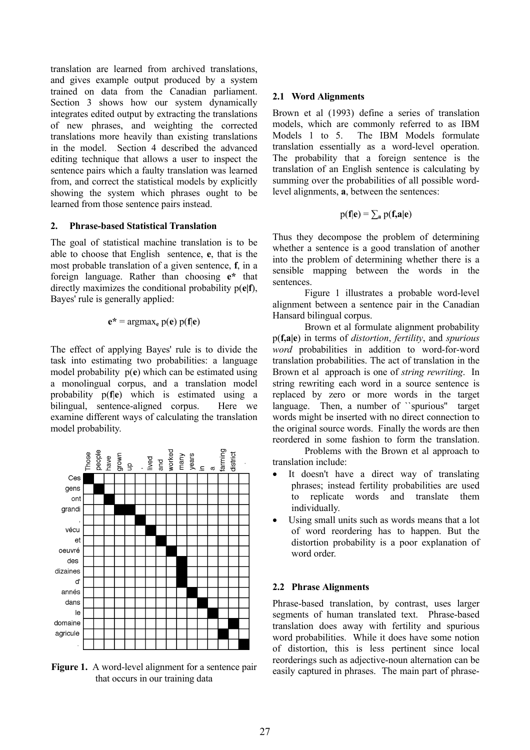translation are learned from archived translations, and gives example output produced by a system trained on data from the Canadian parliament. Section 3 shows how our system dynamically integrates edited output by extracting the translations of new phrases, and weighting the corrected translations more heavily than existing translations in the model. Section 4 described the advanced editing technique that allows a user to inspect the sentence pairs which a faulty translation was learned from, and correct the statistical models by explicitly showing the system which phrases ought to be learned from those sentence pairs instead.

#### **2. Phrase-based Statistical Translation**

The goal of statistical machine translation is to be able to choose that English sentence, **e**, that is the most probable translation of a given sentence, **f**, in a foreign language. Rather than choosing **e\*** that directly maximizes the conditional probability p(**e|f**), Bayes' rule is generally applied:

$$
e^* = \operatorname{argmax}_e p(e) p(f|e)
$$

The effect of applying Bayes' rule is to divide the task into estimating two probabilities: a language model probability p(**e**) which can be estimated using a monolingual corpus, and a translation model probability p(**f**|**e**) which is estimated using a bilingual, sentence-aligned corpus. Here we examine different ways of calculating the translation model probability.



**Figure 1.** A word-level alignment for a sentence pair that occurs in our training data

### **2.1 Word Alignments**

Brown et al (1993) define a series of translation models, which are commonly referred to as IBM Models 1 to 5. The IBM Models formulate translation essentially as a word-level operation. The probability that a foreign sentence is the translation of an English sentence is calculating by summing over the probabilities of all possible wordlevel alignments, **a**, between the sentences:

$$
p(\mathbf{f}|\mathbf{e}) = \sum_{\mathbf{a}} p(\mathbf{f}, \mathbf{a}|\mathbf{e})
$$

Thus they decompose the problem of determining whether a sentence is a good translation of another into the problem of determining whether there is a sensible mapping between the words in the sentences.

Figure 1 illustrates a probable word-level alignment between a sentence pair in the Canadian Hansard bilingual corpus.

Brown et al formulate alignment probability p(**f,a|e**) in terms of *distortion*, *fertility*, and *spurious word* probabilities in addition to word-for-word translation probabilities. The act of translation in the Brown et al approach is one of *string rewriting*. In string rewriting each word in a source sentence is replaced by zero or more words in the target language. Then, a number of "spurious" target words might be inserted with no direct connection to the original source words. Finally the words are then reordered in some fashion to form the translation.

Problems with the Brown et al approach to translation include:

- It doesn't have a direct way of translating phrases; instead fertility probabilities are used to replicate words and translate them individually.
- Using small units such as words means that a lot of word reordering has to happen. But the distortion probability is a poor explanation of word order

# **2.2 Phrase Alignments**

Phrase-based translation, by contrast, uses larger segments of human translated text. Phrase-based translation does away with fertility and spurious word probabilities. While it does have some notion of distortion, this is less pertinent since local reorderings such as adjective-noun alternation can be easily captured in phrases. The main part of phrase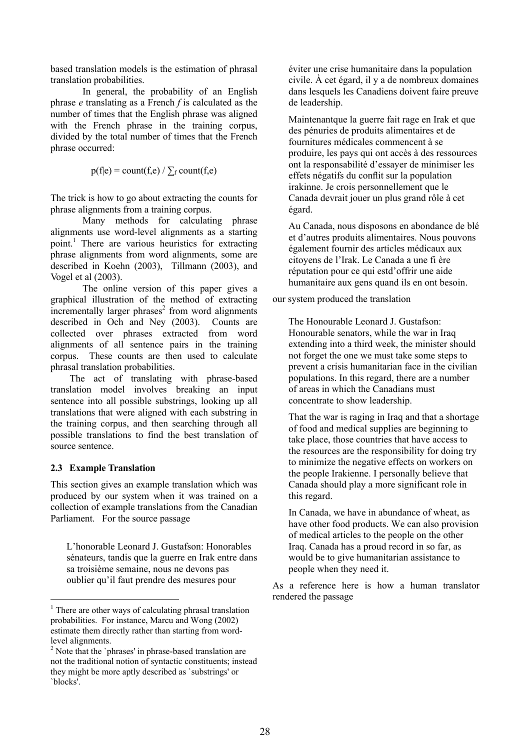based translation models is the estimation of phrasal translation probabilities.

In general, the probability of an English phrase *e* translating as a French *f* is calculated as the number of times that the English phrase was aligned with the French phrase in the training corpus, divided by the total number of times that the French phrase occurred:

 $p(f|e) = count(f,e) / \sum_f count(f,e)$ 

The trick is how to go about extracting the counts for phrase alignments from a training corpus.

Many methods for calculating phrase alignments use word-level alignments as a starting point.<sup>[1](#page-2-0)</sup> There are various heuristics for extracting phrase alignments from word alignments, some are described in Koehn (2003), Tillmann (2003), and Vogel et al (2003).

The online version of this paper gives a graphical illustration of the method of extracting  $\frac{1}{2}$  incrementally larger phrases<sup>2</sup> from word alignments described in Och and Ney (2003). Counts are collected over phrases extracted from word alignments of all sentence pairs in the training corpus. These counts are then used to calculate phrasal translation probabilities.

The act of translating with phrase-based translation model involves breaking an input sentence into all possible substrings, looking up all translations that were aligned with each substring in the training corpus, and then searching through all possible translations to find the best translation of source sentence.

# **2.3 Example Translation**

 $\overline{a}$ 

This section gives an example translation which was produced by our system when it was trained on a collection of example translations from the Canadian Parliament. For the source passage

L'honorable Leonard J. Gustafson: Honorables sénateurs, tandis que la guerre en Irak entre dans sa troisième semaine, nous ne devons pas oublier qu'il faut prendre des mesures pour

éviter une crise humanitaire dans la population civile. À cet égard, il y a de nombreux domaines dans lesquels les Canadiens doivent faire preuve de leadership.

Maintenantque la guerre fait rage en Irak et que des pénuries de produits alimentaires et de fournitures médicales commencent à se produire, les pays qui ont accès à des ressources ont la responsabilité d'essayer de minimiser les effets négatifs du conflit sur la population irakinne. Je crois personnellement que le Canada devrait jouer un plus grand rôle à cet égard.

Au Canada, nous disposons en abondance de blé et d'autres produits alimentaires. Nous pouvons également fournir des articles médicaux aux citoyens de l'Irak. Le Canada a une fi ère réputation pour ce qui estd'offrir une aide humanitaire aux gens quand ils en ont besoin.

our system produced the translation

The Honourable Leonard J. Gustafson: Honourable senators, while the war in Iraq extending into a third week, the minister should not forget the one we must take some steps to prevent a crisis humanitarian face in the civilian populations. In this regard, there are a number of areas in which the Canadians must concentrate to show leadership.

That the war is raging in Iraq and that a shortage of food and medical supplies are beginning to take place, those countries that have access to the resources are the responsibility for doing try to minimize the negative effects on workers on the people Irakienne. I personally believe that Canada should play a more significant role in this regard.

In Canada, we have in abundance of wheat, as have other food products. We can also provision of medical articles to the people on the other Iraq. Canada has a proud record in so far, as would be to give humanitarian assistance to people when they need it.

As a reference here is how a human translator rendered the passage

<span id="page-2-0"></span><sup>&</sup>lt;sup>1</sup> There are other ways of calculating phrasal translation probabilities. For instance, Marcu and Wong (2002) estimate them directly rather than starting from wordlevel alignments.

<span id="page-2-1"></span><sup>&</sup>lt;sup>2</sup> Note that the `phrases' in phrase-based translation are not the traditional notion of syntactic constituents; instead they might be more aptly described as `substrings' or `blocks'.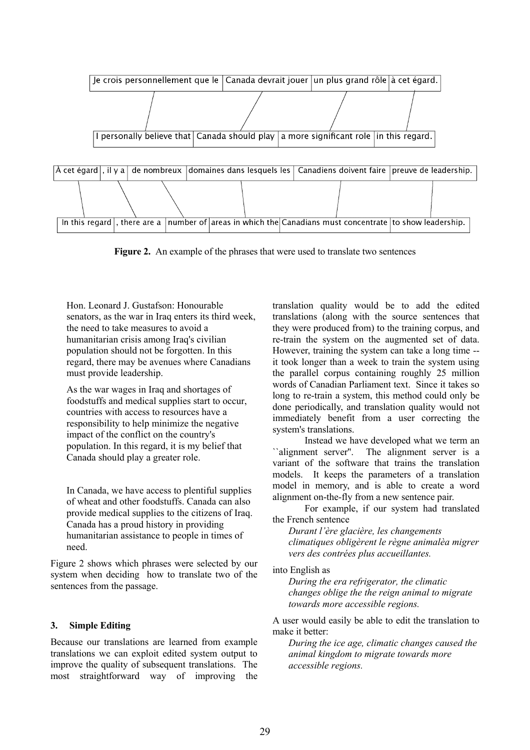

**Figure 2.** An example of the phrases that were used to translate two sentences

Hon. Leonard J. Gustafson: Honourable senators, as the war in Iraq enters its third week, the need to take measures to avoid a humanitarian crisis among Iraq's civilian population should not be forgotten. In this regard, there may be avenues where Canadians must provide leadership.

As the war wages in Iraq and shortages of foodstuffs and medical supplies start to occur, countries with access to resources have a responsibility to help minimize the negative impact of the conflict on the country's population. In this regard, it is my belief that Canada should play a greater role.

In Canada, we have access to plentiful supplies of wheat and other foodstuffs. Canada can also provide medical supplies to the citizens of Iraq. Canada has a proud history in providing humanitarian assistance to people in times of need.

Figure 2 shows which phrases were selected by our system when deciding how to translate two of the sentences from the passage.

# **3. Simple Editing**

Because our translations are learned from example translations we can exploit edited system output to improve the quality of subsequent translations. The most straightforward way of improving the translation quality would be to add the edited translations (along with the source sentences that they were produced from) to the training corpus, and re-train the system on the augmented set of data. However, training the system can take a long time - it took longer than a week to train the system using the parallel corpus containing roughly 25 million words of Canadian Parliament text. Since it takes so long to re-train a system, this method could only be done periodically, and translation quality would not immediately benefit from a user correcting the system's translations.

Instead we have developed what we term an ``alignment server''. The alignment server is a variant of the software that trains the translation models. It keeps the parameters of a translation model in memory, and is able to create a word alignment on-the-fly from a new sentence pair.

For example, if our system had translated the French sentence

*Durant l'ère glacière, les changements climatiques obligèrent le règne animalèa migrer vers des contrées plus accueillantes.*

into English as

*During the era refrigerator, the climatic changes oblige the the reign animal to migrate towards more accessible regions.*

A user would easily be able to edit the translation to make it better:

*During the ice age, climatic changes caused the animal kingdom to migrate towards more accessible regions.*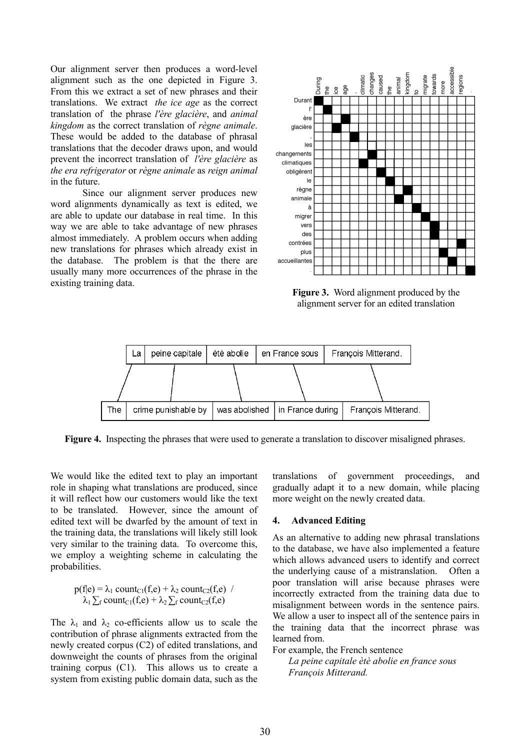Our alignment server then produces a word-level alignment such as the one depicted in Figure 3. From this we extract a set of new phrases and their translations. We extract *the ice age* as the correct translation of the phrase *l'ère glacière*, and *animal kingdom* as the correct translation of *règne animale*. These would be added to the database of phrasal translations that the decoder draws upon, and would prevent the incorrect translation of *l'ère glacière* as *the era refrigerator* or *règne animale* as *reign animal* in the future.

Since our alignment server produces new word alignments dynamically as text is edited, we are able to update our database in real time. In this way we are able to take advantage of new phrases almost immediately. A problem occurs when adding new translations for phrases which already exist in the database. The problem is that the there are usually many more occurrences of the phrase in the existing training data.



**Figure 3.** Word alignment produced by the alignment server for an edited translation



**Figure 4.** Inspecting the phrases that were used to generate a translation to discover misaligned phrases.

We would like the edited text to play an important role in shaping what translations are produced, since it will reflect how our customers would like the text to be translated. However, since the amount of edited text will be dwarfed by the amount of text in the training data, the translations will likely still look very similar to the training data. To overcome this, we employ a weighting scheme in calculating the probabilities.

$$
p(f|e) = \lambda_1 \text{ count}_{C1}(f,e) + \lambda_2 \text{ count}_{C2}(f,e) / \lambda_1 \sum_f \text{count}_{C1}(f,e) + \lambda_2 \sum_f \text{count}_{C2}(f,e)
$$

The  $\lambda_1$  and  $\lambda_2$  co-efficients allow us to scale the contribution of phrase alignments extracted from the newly created corpus (C2) of edited translations, and downweight the counts of phrases from the original training corpus (C1). This allows us to create a system from existing public domain data, such as the translations of government proceedings, and gradually adapt it to a new domain, while placing more weight on the newly created data.

#### **4. Advanced Editing**

As an alternative to adding new phrasal translations to the database, we have also implemented a feature which allows advanced users to identify and correct the underlying cause of a mistranslation. Often a poor translation will arise because phrases were incorrectly extracted from the training data due to misalignment between words in the sentence pairs. We allow a user to inspect all of the sentence pairs in the training data that the incorrect phrase was learned from.

For example, the French sentence

*La peine capitale ètè abolie en france sous François Mitterand.*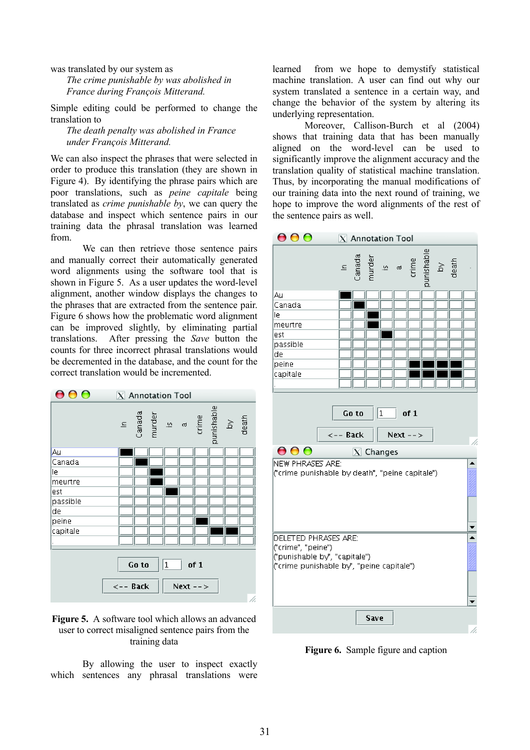was translated by our system as

*The crime punishable by was abolished in France during François Mitterand.*

Simple editing could be performed to change the translation to

*The death penalty was abolished in France under François Mitterand.*

We can also inspect the phrases that were selected in order to produce this translation (they are shown in Figure 4). By identifying the phrase pairs which are poor translations, such as *peine capitale* being translated as *crime punishable by*, we can query the database and inspect which sentence pairs in our training data the phrasal translation was learned from.

We can then retrieve those sentence pairs and manually correct their automatically generated word alignments using the software tool that is shown in Figure 5. As a user updates the word-level alignment, another window displays the changes to the phrases that are extracted from the sentence pair. Figure 6 shows how the problematic word alignment can be improved slightly, by eliminating partial translations. After pressing the *Save* button the counts for three incorrect phrasal translations would be decremented in the database, and the count for the correct translation would be incremented.





By allowing the user to inspect exactly which sentences any phrasal translations were

learned from we hope to demystify statistical machine translation. A user can find out why our system translated a sentence in a certain way, and change the behavior of the system by altering its underlying representation.

Moreover, Callison-Burch et al (2004) shows that training data that has been manually aligned on the word-level can be used to significantly improve the alignment accuracy and the translation quality of statistical machine translation. Thus, by incorporating the manual modifications of our training data into the next round of training, we hope to improve the word alignments of the rest of the sentence pairs as well.



**Figure 6.** Sample figure and caption